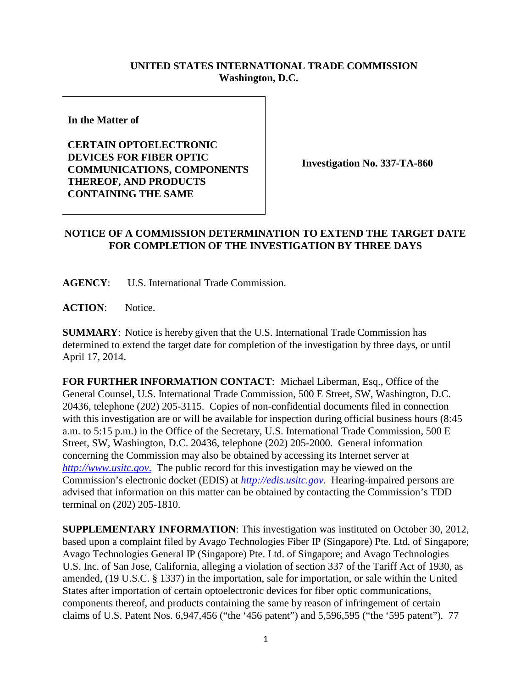## **UNITED STATES INTERNATIONAL TRADE COMMISSION Washington, D.C.**

**In the Matter of**

**CERTAIN OPTOELECTRONIC DEVICES FOR FIBER OPTIC COMMUNICATIONS, COMPONENTS THEREOF, AND PRODUCTS CONTAINING THE SAME**

**Investigation No. 337-TA-860**

## **NOTICE OF A COMMISSION DETERMINATION TO EXTEND THE TARGET DATE FOR COMPLETION OF THE INVESTIGATION BY THREE DAYS**

**AGENCY**: U.S. International Trade Commission.

**ACTION**: Notice.

**SUMMARY**: Notice is hereby given that the U.S. International Trade Commission has determined to extend the target date for completion of the investigation by three days, or until April 17, 2014.

**FOR FURTHER INFORMATION CONTACT**: Michael Liberman, Esq., Office of the General Counsel, U.S. International Trade Commission, 500 E Street, SW, Washington, D.C. 20436, telephone (202) 205-3115. Copies of non-confidential documents filed in connection with this investigation are or will be available for inspection during official business hours (8:45) a.m. to 5:15 p.m.) in the Office of the Secretary, U.S. International Trade Commission, 500 E Street, SW, Washington, D.C. 20436, telephone (202) 205-2000. General information concerning the Commission may also be obtained by accessing its Internet server at *[http://www.usitc.gov](http://www.usitc.gov./)*. The public record for this investigation may be viewed on the Commission's electronic docket (EDIS) at *[http://edis.usitc.gov](http://edis.usitc.gov./)*. Hearing-impaired persons are advised that information on this matter can be obtained by contacting the Commission's TDD terminal on (202) 205-1810.

**SUPPLEMENTARY INFORMATION**: This investigation was instituted on October 30, 2012, based upon a complaint filed by Avago Technologies Fiber IP (Singapore) Pte. Ltd. of Singapore; Avago Technologies General IP (Singapore) Pte. Ltd. of Singapore; and Avago Technologies U.S. Inc. of San Jose, California, alleging a violation of section 337 of the Tariff Act of 1930, as amended, (19 U.S.C. § 1337) in the importation, sale for importation, or sale within the United States after importation of certain optoelectronic devices for fiber optic communications, components thereof, and products containing the same by reason of infringement of certain claims of U.S. Patent Nos. 6,947,456 ("the '456 patent") and 5,596,595 ("the '595 patent"). 77